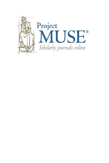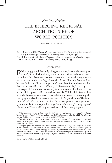# *Review Article* The Emerging Regional Architecture of WORLD POLITICS

## By Amitav Acharya\*

Barry Buzan and Ole Wæver. *Regions and Powers: The Structure of International Security*. Cambridge: Cambridge University Press, 2003, 564 pp. Peter J. Katzenstein. *A World of Regions: Asia and Europe in the American Imperium.* Ithaca, N.Y.: Cornell University Press, 2005, 297 pp.

#### **INTRODUCTION**

FOR a long period the study of regions and regional orders occupied a small, if not insignificant, place in international relations theory and scholarship. Now we have two books which argue that regions are *central* to our understanding of world politics. Not only have regions become "substantially more important" sites of conflict and cooperation than in the past (Buzan and Wæver, 10; Katzenstein,  $24$ )<sup>1</sup> but they have also acquired "substantial" autonomy from the system-level interactions of the global powers (Buzan and Wæver, 4). While globalization has been the buzzword of international relations scholars in describing the emerging world order, at most it coexists with "regionalization" (Katzenstein, 21, 41–42)—so much so that "it is now possible to begin more systematically to conceptualize *a global world order of strong regions*" (Buzan and Wæver, 20, emphasis added). Or "*a world of regions.*"2

*World Politics* 59 ( July 2007), 629–52

<sup>\*</sup> For comments and suggestions on earlier drafts of this article, the author is grateful to Rajesh Basrur, Rosemary Foot, S. P. Harish, Andrew Hurrell, Hiro Katsumata, John Ravenhill, Garry Rodan, Richard Stubbs, and three anonymous reviewers of *World Politics*.

<sup>&</sup>lt;sup>1</sup> David A. Lake and Patrick M. Morgan, "The New Regionalism in Security Affairs," in Lake and Morgan, eds., *Regional Orders: Building Security in a New World* (University Park: Pannsylvania State University Press, 1997), 7.

<sup>2</sup> Despite agreement on these basic points, the two books differ in significant ways. *R&P* covers all the major regions of the world, while *AWR* focuses on Europe and Asia, with a concluding chapter that discusses how its framework applies to other regions—South Asia, the Middle East, Latin America, and Africa. But *AWR's* thematic scope is wider, incorporating the economics-security nexus and the role of culture and identity in shaping regional interactions. *R&P* concentrates on security dynamics.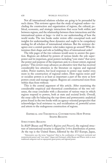Not all international relations scholars are going to be persuaded by such claims. This reviewer agrees that the study of regional orders—including the construction and organization of regions, the cultural, political, economic, and strategic interactions that occur both within and between regions, and the relationship between these interactions and the international system at large—is vital to our understanding of how the world works. The two books under review offer conceptual tools and insights for understanding these dynamics and ought to be compulsory reading for all scholars of international relations. But the reviewer disagrees over a central question: *what* makes regions go around? Who determines their shape and role as building blocs of international order?

The title pages of the two volumes would seem to answer the question. Regions are defined by powers of various kinds: the sole superpower and its imperium, great powers including "core states" that serve the power and purpose of the imperium and, to a lesser extent, regional powers.3 This review essay advances an alterative view that has received considerably less attention in the literature on regions and regional orders. Power matters, but local responses to power may matter even more in the construction of regional orders. How regions resist and/ or socialize powers is at least as important a part of the story as how powers create and manage regions. Regions are constructed more from within than from without.

This is the central argument of this article. After examining the considerable empirical and theoretical contributions of the two volumes, the essay concludes with a discussion of various ways in which regions respond to powers, both at state and societal levels. Overall, the essay calls for balancing the top-down and powercentric analytical prism found in the two books with an agency-oriented perspective that acknowledges local resistance to, and socialization of, powerful actors and attests to the endogenous construction of regions.

# Empirical and Theoretical Contributions: How Power Shapes Regions

# STRUCTURING REGIONS

In *R&P* (Buzan and Wæver's *Regions and Powers*), the regional structure of international security is shaped by 1+4+x distribution of power. At the top is the United States, followed by the EU-Europe, Japan,

<sup>3</sup> Katzenstein uses the terms "imperium" (that is, the combination of America's territorial and nonterritorial power) and "core states" ( Japan and Germany), while Buzan and Wæver stick to more traditional categories such as superpower, great power, and regional power.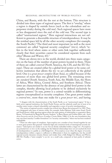China, and Russia, with the the rest at the bottom. This structure is divided into three types of regional spaces. The first is "overlay," where a region is shaped by outside forces (such as the colonialism and superpower rivalry during the cold war). Such regional spaces have more or less disappeared since the end of the cold war. The second type is called "unstructured regions." Here regional interactions are not sufficient to generate a discernible structure of interdependence. It may be the residual space left by all the other security complexes (for example, the South Pacific).4 The third and most important (as well as the most common) are called "regional security complexes" (RSCs), which "refers to the level where states or other units link together sufficiently closely that their securities cannot be considered separate from each other"(Buzan and Wæver, 43).<sup>5</sup>

There are eleven RSCs in the world, divided into three main categories on the basis of the number of great powers located in them. Three of them are called *centered* (North America, the CIS, and the EU-Europe). These are created either by a global-level power or by some collective institution that allows the rsc to act collectively at the global level. One is a *great power complex* (East Asia), so called because of the presence of more than one global-level power. The remaining seven are *standard* (South America, South Asia, the Middle East, the Horn of Africa, West Africa, Central Africa, and Southern Africa). These latter are characterized by the absence of any global-level power in the complex, thereby allowing local polarity to be defined exclusively by regional powers.<sup>6</sup> In sum, power is a central variable in differentiating regions conceptualized as security complexes. One great power makes a *centered* rsc, more than one make for a *great power* rsc, and having

<sup>5</sup> The notion of regional security complex has evolved since Buzan first proposed it in 1983. Then, rscs designated only areas of intense rivalry (for example, India-Pakistan; Arab states–Israel, North and South Korea), while ignoring regions where the main pattern of relationship is cooperative; Barry Buzan, "A Framework for Regional Security Analysis," in Barry Buzan and Gowher Rizvi, eds., *South Asian Insecurity and the Great Powers* (London: Croom Helm, 1986), 8. In the new formulation they may vary from anarchy ("conflict formations") to "security communities," where war has been rendered unthinkable.

**6** There are other types of complexes. *Supercomplexes* are a number of rscs bound together by one or more great powers that generate "relatively high and consistent levels of interregional security dynamics." *Subcomplexes* are similar to an rsc but are firmly embedded within a larger rsc. *Precomplexes* are potential RSCs or RSCs in the making, but the bilateral relationships have not yet reached the level of interdependence to qualify as a full-fledged rsc. *Protocomplexes* occur when the degree of security interdependence within a region is sufficient to differentiate it from its neighbours, but the overall regional security dynamics remains thinner and weaker than a fully fledged rsc (Buzan and Wæver, 490–92). Finally, a "mini-complex" is an rsc on a small scale, composed at least partly of substate actors.

<sup>4</sup> I disagree with the characterization of the South Pacific as an "unstructured region." It has a fairly active regional institution, the South Pacific Forum, and the relatively small size of most of its member states creates a shared vulnerability and engenders a sense of security interdependence.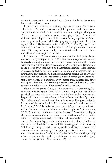no great power leads to a *standard* rsc, although the last category may have regional-level powers.

In Katzenstein's world of regions, only one power really matters. This is the U.S., which maintains a global presence and whose power and preferences are critical to the shape and functioning of all regions. But a crucial role in this hegemonic order is played by the "core states" of Germany and Japan. These states provide "steady support for American purpose and power while also playing an important role in the region's affairs" (Katzenstein, 237). *AWR* (*A World of Regions*) is thus founded on a dual hierarchy, between the U.S. imperium and the core states (Germany in Europe and Japan in Asia) and between the latter and others in their respective regions.

If regions in  $R\Im P$  are internally interdependent but mutually exclusive security complexes, in *AWR* they are conceptualized as distinctively institutionalized but "porous" spaces hierarchically linked with the core states under an overarching U.S. imperium. Regions are made porous by globalization and internationalization. Globalization is driven by technology, nonterritorial actors, and processes, such as multilateral corporations and nongovernmental organizations, whereas internationalization is about territorially based exchanges, in which national sovereignty is "bargained away," rather than transcended. Since no region is immune to these two processes, there can be no exclusionary and autarchic blocs in Katzenstein's world of regions.

Unlike *R&P'*s global focus, *AWR* concentrates on comparing Europe and Asia. It regards them as the two most important sites of geopolitical and economic interactions today. As both regions are affected by globalization and internationalization, both are considerably porous. But their regional institutions differ in three ways. European regionalism is more "formal and political" and relies more on "state bargains and legal norms." Asia's is "informal and economic" and relies more heavily on "market transactions and ethnic or national capitalism" (Katzenstein, 27, 219). A second difference concerns the role of Germany and Japan, the two core states. Germany is more committed to multilateral action within Europe, so much so that its national identity has become Europeanized. By contrast, Japan retains a strong sense of national identity and remains wedded to bilateral over multilateral arrangements (Katzenstein, 36). Finally, European and Asian regionalisms differ in terms of their attitudes toward sovereignty. "Europe's regionalism is more transparent and intrusive than Asia's"; while "[a]bsent in Asia are the pooling of sovereignty and far-reaching multilateral arrangements that typify Europe's security order" (Katzenstein, 219,125).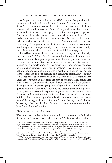An important puzzle addressed by *AWR* concerns the question why Europe developed multilateralism well before Asia did (Katzenstein, 50–60). Here, too, the role of the United States assumes critical importance, although it was not America's physical power but its sense of collective identity that is at play. In the immediate postwar period, American policymakers viewed their potential European allies as "relatively equal members of a shared community." By contrast, the potential Asian allies of the U.S. were seen as "an alien and . . . inferior community."7 The greater sense of a transatlantic community compared to a transpacific one explains why Europe rather than Asia was seen by the U.S. as a more desirable arena for its multilateral engagement.

But *AWR*'s ideational but Americanocentric explanation for why was there no "NATO in Asia"<sup>8</sup> ignores a fundamental difference between Asian and European regionalisms. The emergence of European regionalism consummated the declining legitimacy of nationalism blamed for two world wars; in Asia, however, regionalism was founded on nationalist crosscurrents. Thus in postwar Asia, unlike in Europe, nationalism and regionalism enjoyed a symbiotic relationship. Indeed, Japan's approach to both security and economic regionalism—opting for a "network" style rather than an EC-style formal institutionalist approach—resulted in part from its fear of stoking Asian nationalist (anti-Japanese) sentiments that would have accompanied any effort to develop a formal regional group under Japan's leadership. One consequence of *AWR's* "core state" model is the limited attention it pays to asean, which successfully exploited regionalism in the service of nationalism and sovereignty and which has been the central institutional building bloc of Asian regionalism. In this important sense, the trajectory of Asian regionalism and its core feature (that is, it would be led by asean, rather than by the U.S. or Asia's major powers) was neither Japan's nor America's choice.

#### (Re)conceptualizing Regions

The two books under review reflect and advance recent shifts in the literature on how to conceptualize regions.<sup>9</sup> As Mansfield and Milner

<sup>9</sup> On the various ways of defining regions, see Louis J. Cantori and Steven L. Spiegel, eds., *The International Politics of Regions: A Comparative Approach* (Englewood Cliffs, N.J.: Prentice Hall, 1970);

**<sup>7</sup>** Christopher Hemmer and Peter J. Katzenstein, "Why Is There No nato in Asia: Collective Identity, Regionalism, and the Origins of Multilateralism," *International Organization* 56 (Summer 2002), 575.

<sup>8</sup> Beyond the U.S. role, *AWR* identifies state power, regime type, and state structures as the factors that make Asian regionalism different from Europe's (Katzenstein, 220). European regionalism is a regionalism of relatively equal neighbors of similar regime types with well-functioning bureaucracies. Intra-Asian relations are more hierarchical, Asian political regimes differ widely, and Asian states are "non-Weberian" in the sense that "rule by law" rather than "rule of law" prevails.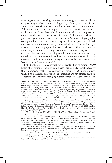note, regions are increasingly viewed in nongeographic terms. Physical proximity or shared cultural, linguistic, political, or economic ties are no longer considered to be a sufficient condition for regionness.<sup>10</sup> Behavioral approaches that employed inductive, quantitative methods to delineate regions<sup>11</sup> have also lost their appeal. Newer approaches emphasize the social construction of regions. Adler and Crawford argue that regions are not to be conceptualized "in terms of geographic contiguity, but rather in terms of purposeful social, political, cultural, and economic interaction among states which often (but not always) inhabit the same geographical space."12 Moreover, there has been an increasing tendency to view regions in ideational terms. Regions could express collective identities, self-generated and recognized as such by outsiders.13 Regionness could also be a function of regionalist ideas and discourses, and the prominence of regions may well depend as much on "representation" as on "reality."<sup>14</sup>

Both books profess a constructivist understanding of regions. *R&P*  holds that regional security complexes "are socially constructed by their members, whether consciously or (more often) unconsciously" (Buzan and Wæver, 48). For *AWR*, "Regions are not simply physical constants" but "express changing human practices" (Katzenstein, 12).

<sup>10</sup> Edward Mansfield and Helen Milner, "The New Wave of Regionalism," International Organi*zation* 53 (Summer 1999).

<sup>11</sup> Charles Pentland, "The Regionalization of World Politics: Concepts and Evidence," Interna*tional Journal* 30 (Autumn 1974–75), 615. On the behavioral perspective on regions, see Bruce Russett, *International Regions and the International System: A Study in Political Ecology* (Chicago: Rand McNally, 1967); idem, "Delineating International Regions," in Joel David Singer, ed., *Quantitative International Politics: Insights and Evidence* (New York: Free Press, 1968).

<sup>12</sup> Emanuel Adler and Beverly Crawford, "Constructing a Mediterranean Region: A Cultural Approach" (Paper presented at the Conference on the Convergence of Civilizations? Constructing a Mediterranean Region, Lisbon, Portugal, June 6–9, 2002), 3.

<sup>13</sup> Ole Wæver, "Culture and Identity in the Baltic Sea Region," in Pertti Joenniemi, ed., *Cooperation in the Baltic Sea Region* (London: Taylor and Francis, 1993).

<sup>14</sup> See Arif Dirlik, "The Asia-Pacific Region: Reality and Representation in the Invention of the Regional Structure," *Journal of World History* 3, no. 1 (1992).

William R. Thompson, "The Regional Subsystem: A Conceptual Explication and a Propositional Inventory," *International Studies Quarterly* 17 (March 1973); Andrew Hurrell, "Regionalism in Theoretical Perspective," in Louise Fawcett and Andrew Hurrell, eds., *Regionalism in World Politics* (Oxford: Oxford University Press, 1996); Iver Neumann, "A Region-Building Approach to Northern Europe," *Review of International Studies* 20 (1994); Kanishka Jayasurya, "Singapore: The Politics of Regional Definition," *Pacific Review* 7, no. 4 (1994); Mitchell Bernard, "Regions in the Global Political Economy: Beyond the Local-Global Divide in the Formation of the Eastern Asian Region," *New Political Economy* 1 (November 1996); Hari Singh, "Hegemonic Construction of Regions: Southeast Asia as a Case Study," in Sarah Owen, ed., *The State and Identity Construction in International Relations* (London: Macmillan, 1999); Amitav Acharya, *The Quest for Identity: International Relations of Southeast Asia* (Singapore: Oxford University Press, 2000); Alexander Murphy, "Regions as Social Constructs: The Gap between Theory and Practice," *Progress in Human Geography* 15, no. 1 (1991); Raimo Varynen, "Regionalism: Old and New," *International Studies Review* 5, no. 1 (2003); Andrew Hurrell, "One World? Many Worlds? The Place of Regions in the Study of International Society," *International Affairs* 83 (2007).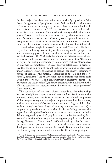But both reject the view that regions can be simply a product of the shared imagination of peoples or states. Neither book considers social construction to be adequate; rather, it has to be combined with materialist determinants. In *R&P* the materialist element includes the neorealist-favored notions of bounded territoriality and distribution of power. This is blended with securitization theory, which focuses on political "speech acts" with which a "security issue is posited (by a securitizing actor) as a threat to the survival of some referent object (nation, state, the liberal international economic order, the rain forests), which is claimed to have a right to survive" (Buzan and Wæver, 71). The book argues for combining neorealist, globalist, and regionalist perspectives in understanding post–cold war global or regional security orders (Buzan and Wæver, 13). *AWR* finds the boundaries between materialism/ rationalism and constructivism to be thin and extols instead "the value of relying on multiple explanatory frameworks" that are "formulated on pragmatic assumptions."15 It uses "analytic eclecticism," a perspective that looks to a mix of geopolitical, behavioral, and constructivist understandings of regions. Instead of testing "the relative explanatory power" of realism ("the material capabilities of the US and the core states"), liberalism ("the relative efficiency of institutional forms built around the core states"), and constructivism ("collective identities in European and Asian affairs"), it draws "selectively from all three in the effort to establish the interconnections between the various processes" (Katzenstein, 39).

The syncretism of the two volumes extends to the relationship between disciplinary approaches and area studies. *R&P* laments the tendency among area specialists to focus on the cultural uniqueness of their respective regions and reject comparative studies. By contrast, ir theories aspire to a global reach and a systematizing capability that neglect the regional level. Regional security complex theory (RSCT) is supposed to provide a way out by sharply distinguishing between the regional and the global levels while at the same time focusing on "selfdefining regional dynamics" (requiring area studies knowledge) in a worldwide setting of mutually exclusive regions (requiring the help of theory) (Buzan and Wæver, 468). *AWR* acknowledges that "exclusive specialization in a particular area . . . misses the connections between developments in different parts of the world." But area studies is crucial for analyzing transnational relations. It offers "contingent gener-

<sup>&</sup>lt;sup>15</sup> Peter J. Katzenstein and Rudra Sil, "Rethinking Asian Security: A Case for Analytical Eclecticism," in J. J. Suh, Peter J. Katzenstein, and Allen Carlson, eds., *Rethinking Security in East Asia: Identity, Power and Efficiency* (Stanford, Calif.: Stanford University Press, 2004), 5.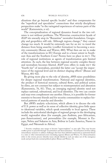alizations that go beyond specific locales" and thus compensates for the "superficial and speculative" connections that strictly disciplinary perspectives make "to the variegated experiences of various parts of the world" (Katzenstein, x–xi).

The conceptualization of regional dynamics found in the two volumes is not without problems. The Wæverian constructivist facade of *R&P* sits uneasily atop its "Buzantine" neorealist foundation. Geography and geopolitics still rule. Although regions change,<sup>16</sup> they cannot change too much. It would be extremely rare for an rsc to travel the distance from being anarchic (conflict formation) to becoming a security community (Buzan and Wæver, 480). What then are we to make of the transformations in EU-Europe and to a lesser extent in Southeast Asia and the Southern Cone? Norms have no place in RSCT. The role of regional institutions as agents of transformation gets limited attention. As such, the line between regional security complex theory and neorealism becomes blurred. *R&P* even offers to make RSCT the "fourth tier" of neorealism, provided the latter can "accept the importance of the regional level and its distinct shaping effects" (Buzan and Wæver, 481–82).

By giving more play to the role of identity, *AWR* raises possibilities for deeper regional transformation. National and regional identities, the product of historical memory, cultural flows, and political action by elites, are not constant but subject to reinterpretation and alteration (Katzenstein, 76, 81). Thus, an emerging regional identity need not replace national, subnational, and local identities. The two can coexist and may even complement one another. Hence, it is possible for former enemies to become friends and for security communities to replace historical patterns of anarchy and disorder.

But *AWR*'s analytic eclecticism, which allows it to discuss the role of U.S. power as well as its sense of collective identity, gives little space to ideational variables, which speak essentially to local agency. These include the anticolonial ideologies of regional groups in the developing world, regionalist ideas (for example, pan-Arabism, pan-Africanism, pan-Americanism), and personalities (for example, Monnet in Europe, Nehru and Sukarno in Asia, Bolivar in Latin America, Nasser in Egypt, and Nkrumah in Africa).

<sup>16</sup> Security complexes may merge to become "supercomplexes" or may split. They may become conflict prone or peaceful through "securitization and desecuritization." Securitization involves taking extraordinary measures to address challenges that have been labeled/constructed as existential threats to a state or other international actors (including regions) (Buzan and Wæver, 71). Desecuritization refers to the reverse process whereby issues already labeled as such are taken out of the emergency mode and put back into normal political sphere (Buzan and Wæver, 71).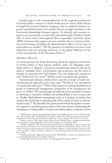Another gap in the conceptualization of the regional architecture of world politics common to both books may be noted. Both discuss at length the vertical relations of regions, that is, relations between regional and global powers, but neither devotes enough attention to the horizontal relationship between regions. To identify and compare regions is not necessarily to study their interrelationship. Neither volume tells us much about interregional flows (especially important, given *AWR*'s insistence that regions are not autarchic blocs) or about emulation and learning, including the demonstration effects of one type of regionalism on another.<sup>17</sup> Yet the question of emulation becomes more important with the growing attention to the global diffusion of the norms and practices of the European Union.18

#### Ordering Regions

A *central* question for those theorizing about the regional architecture of world politics is how regions produce order. As Alagappa notes, while order is a "slippery" concept in international relations and can be used in "multiple ways," policymakers and academics use the term as though its meaning were self-evident. Very few define the concept or even clarify how its is used.19 Neither book rises above this problem.

International relations scholars have used the concept of order (international and regional) in two main ways. The first is "as a description of a particular status quo."20 Here, order means an existing distribution of power or institutional arrangement, irrespective of its consequences for peace or conflict. The second usage of order has more normative content, in referring to increased stability and predictability, if not to peace per se. Hedley Bull defined international order as "a pattern of activity that sustains the elementary or primary goals of the society of states, or international society."21 He identified the goals toward which the pattern of activity is geared as including preservation of the state system, maintaining the sovereignty or independence of states and relative peace or absence of war

<sup>17</sup> *R&P* discusses material security linkages between the neighboring RSCs, such as South, Southeast, and Northeast Asia; the Middle East and Africa; North and South America; and the links between Russia and Europe and Asia (Buzan and Wæver, chap. 6 and pp. 258–60, 333–37, 429–33).

<sup>18</sup> Amitav Acharya, "How Ideas Spread: Whose Norms Matter? Norm Localization and Institutional Change in Asian Regionalism," *International Organization* 58 (Spring 2004).

<sup>20</sup> Mohammed Ayoob, "Regional Security and the Third World," in Ayoob, ed., *Regional Security in the Third World* (London: Croom Helm, 1986), 4.

<sup>21</sup> Hedley Bull, *The Anarchical Society*, 2<sup>nd</sup> ed. (Basingstoke: Macmillan, 1999), 8.

<sup>19</sup> Muthiah Alagappa, "The Study of International Order," in Alagappa, ed., *Asian Security Order: Instrumental and Normative Features* (Stanford, Calif.: Stanford University Press, 2003), 34. For a discussion of regional orders produced by internationalist coalitions, see Etel Solingen, *Regional Orders at Century's Dawn: Global and Domestic Influences on Grand Strategy* (Princeton: Princeton University Press, 1998).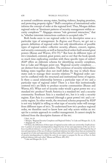as normal conditions among states, limiting violence, keeping promises, and protecting property rights.22 Bull's conception of international order informs the concept of order at the regional level. Thus, Morgan defines regional order as "dominant patterns of security management within security complexes."23 Alagappa stresses "rule governed interaction," that is, "whether interstate interactions conform to accepted rules."24

Both books seem to use regional order in its descriptive sense as a particular type of arrangement. In *Regions and Powers*, we get not a generic definition of regional order but only identification of possible types of regional orders: collective security, alliance, concert, regime, and security community, as well as hierarchical orders built around great powers (Buzan and Wæver, 474–75).25 But how do different types of rscs (standard, centered, great power, and so on) that the book spends so much time explicating correlate with these specific types of orders? *R&P* offers an elaborate schema for identifying security complexes, but as Lake and Morgan point out, "Regional security complexes . . . are distinct from regional orders. The existence of security externalities linking states together does not itself define the way in which those states seek to manage their security relations."26 Regional order cannot be conflated with the structural and institutional forms of regions. Is there a causal relationship between a particular type of rsc and a particular type of regional order? There is a hint that institutionally centered RSCs are likely to produce security communities (Buzan and Wæver, 65). What sort of security order would a great power RSC or a standard rsc produce? South America is a standard rsc and a security community. Southeast Asia is a standard RSC, but it is only a security regime. East Asia is a centered (through a great power) RSC and a security regime. In other words, the structural schema proposed by *R&P* is not very helpful in telling us what type of security order will emerge from different types of rscs. To understand how rscs produce regional order, we therefore need to know how and why actors within an rsc opt for a certain approach to conflict management. It cannot simply be inferred from the descriptive features of the rsc*.*

 $26$  Lake and Morgan (fn. 1), 12.

<sup>22</sup> Ibid., 16–19.

<sup>&</sup>lt;sup>23</sup> Morgan, "Regional Security Complexes and Regional Orders," in Lake and Morgan (fn. 1), 32.

<sup>24</sup> Alagappa (fn. 19), 39.

<sup>25</sup> Of these, the definitions of three types of regional security orders are noteworthy. *Conflict formation:* "a pattern of security interdependence shaped by fear of war and expectations of the use of violence in political relations"; *security regime:* "a pattern of security interdependence still shaped by fear of war and expectations of the use of violence in political relations, but where those fears are restrained by an agreed set of rules and expectations that those rules will be observed"; *security community:* "a pattern of security interdependence in which the units do not expect or prepare for the use of force in their political relations with each other" (Buzan and Wæver, 489, 491).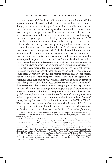Here, Katzenstein's institutionalist approach is more helpful. While regions should not be conflated with regional institutions, the existence, design, and performance of regional institutions can tell us much about the conditions and prospects of regional order, including protection of sovereignty and prospects for conflict management and rule-governed behavior among states. Institutions in this sense reflect as well as shape the state of regional peace and stability. But uncertainty exists in *AWR*  about how different institutional forms relate to regional order. Since *AWR* establishes clearly that European regionalism is more institutionalized and less sovereignty bound than Asia's, does it then mean that Europe has more regional order? The book could, but chooses not to, make such a claim, mindful of Katzenstein's own earlier warning that in comparing the two regionalisms it would be "a great mistake to compare European 'success' with Asian 'failure.' Such a Eurocentric view invites the unwarranted assumption that the European experience sets the standard by which Asian regionalism should be measured."27

Nonetheless, more attention to variations among regional institutions and the implications of these variations for conflict management could offer a productive avenue for further research on regional orders. For example, a recently completed comparative study of regional institutions looks not only at why regional institutions differ in terms of their design but also at how these differences correlate with their effectiveness, including their role in ensuring regional order (peace and stability).<sup>28</sup> One of the findings of the project is that if effectiveness is measured in terms of the ability of a regional institution to achieve its "set goals," then regional institutions with less formal and binding rules have helped to preserve the state system and maintain the independence of states, the key "set goal" of all regional institutions in the Third World. This supports Katzenstein's view that one should not think of EUstyle supranationalism as the only model of success that other regional institutions ought to emulate. Another finding of the project, however, <sup>27</sup> Peter J. Katzenstein, "Introduction: Asian Regionalism in Comparative Perspective," in Peter J.

Katzenstein and Takashi Shiraishi, eds., *Network Power: Japan and Asia* (Ithaca, N.Y.: Cornell University Press, 1997), 3.

28 Amitav Acharya and Alastair Iain Johnston, eds., *Crafting Cooperation: Regional International Institutions in Comparative Perspective* (Cambridge: Cambridge University Press, 2007). This study is different from the Rational Design of International Institutions (RDII) project, which addressed why and how international institutions differ (in terms of their membership rules, scope of issues, centralization of tasks, rules for controlling the institution, and flexibility of arrangements) but bracketed considerations of their effectiveness. Barbara Koremenos, Charles Lipson, and Duncan Snidal, *The Rational Design of International Institutions* (Cambridge: Cambridge University Press, 2004); John S. Duffield, "The Limits of 'Rational Design," *International Organization* 57 (Spring 2003). The RDII project did not study regional institutions. The Acharya-Johnston project looks at both material and ideational aspects of design variations among regional institutions and then studies the impact of these features on the effectives of institutions.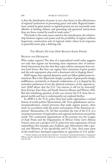is that the distribution of power is not a key factor in the effectiveness of regional institutions in promoting peace and order. Regional institutions created by great powers or regional powers are not necessarily more effective at limiting violence and generating rule-governed interactions than are those created by small or weak states.<sup>29</sup>

This leads to the main issues raised in the introduction, the relationship between regions and power and the possibility of regions without hegemonic construction and of regional orders where local responses to powerful actors play a defining role.

## The Missing Picture: How Regions Shape Power

# Regions and Hegemony

Who makes regions? The idea of a regionalized world order suggests not only that regions are becoming more important sites of international interactions but also that they enjoy relative autonomy from system-level forces. But how can regions have autonomy if great powers and the sole superpower play such a dominant role in shaping them?

*R&P* argues that regional dynamics need not follow global power interactions. But is this disjuncture simply a product of great power design, indifference, overstretch, or domestic isolationism, or is it shaped by the normative preferences if not the physical resistance of the regional actors? *R*&P allows that the U.S. "can remove it self (or be removed)" from Europe, East Asia, and South America (Buzan and Wæver, 456). But this tantalizing question of who can remove the U.S. from the regional worlds and how is unfortunately not explored further.

In *AWR* it is the "U.S. policy [that has] made regionalism a central feature of world politics"(Katzenstein, 24). Even globalization and internationalization, central processes that make regions porous, often work "in accordance with the power and purpose of the American imperium" (Katzenstein, 13). Yet this overstates the role of the U.S. as a consistent promoter of regionalism and regional institutions around the world. The continental organizations of the postwar era, the League of Arab States and the Organization of African Unity (now African Union), were not a product of U.S. policy but were expressions of local nationalisms (for example, pan-Arabism, pan-Africanism) with a general anti-Western, if not specifically anti-U.S., bias. And some parts of the world have developed regionalism in opposition to U.S. prefer-

<sup>29</sup> Amitav Acharya and Alastair Iain Johnston, "Conclusion: Institutional Features, Cooperation Effects, and the Agenda for Further Research on Comparative Regionalism," in Acharya and Johnston (fn. 28)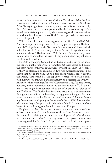ences. In Southeast Asia, the Association of Southeast Asian Nations (asean) was designed as an indigenous alternative to the Southeast Asian Treaty Organization (seato), a regional alliance sponsored by the U.S. 30 Another recent example would be the idea of security multilateralism in Asia, represented by the ASEAN Regional Forum (ARF), an idea which the administration of Bush Sr. had opposed as a "solution in search of a problem."31

What about the influence of regions on the U.S.? For *AWR*, "the American imperium shapes and is shaped by porous regions" (Katzenstein, 179). It puts forward a "two-way Americanization" thesis, which holds that while America changes others, "others change America, at home and abroad" (Katzenstein, 198). But does America really learn from others, as should be the case with any genuine two-way influence and feedback situation?

For *AWR,* changing U.S. public attitudes toward security, including the general public support for preemption (at least before and during the early stages of the war against Iraq) evident in America's response to the 9/11 attacks, is an example of "two-way Americanization." This shows that just as the U.S. can and does shape regional orders around the world, "that world has the capacity to react, often with a complex mixture of admiration and resentment and occasionally with violent fury—thus remaking America"(Katzenstein, 206). To this writer, however, anti-Americanism fueled by the resentment of U.S. dominance that might have contributed to the 9/11 attacks is "blowback" not "feedback." The Bush administration's reaction to that resentment through a nationalistic, unilateralist, and aggressive foreign policy and security approach can hardly be construed as a case of America learning from others or adapting to the ways of others. *AWR* does not deal with the variety of ways in which the role of the U.S. might be challenged from within regions, including Asia and Europe.

Emphasis on the role of great powers in the creation of regional orders is not unusual in the international relations literature. Indeed, the latter often privileges the influence of such powers.32 Mearsheimer sees a natural and inevitable tendency among great powers toward coercive regional domination.<sup>33</sup> Cooper and Taylor hold that great pow-

<sup>&</sup>lt;sup>30</sup> Amitav Acharya, "Why Is There No NATO in Asia? The Normative Origins of Asian Multilateralism," Working Paper, no. 05-05 (Cambridge: Harvard University, Weatherhead Center for International Affairs, July 2005).

<sup>31</sup> Amitav Acharya, *Constructing a Security Community in Southeast Asia: asean and the Problem of Regional Order* (London: Routldge, 2001), 182.

 $32$  Singh (fn. 9).

<sup>33</sup> John Mearsheimer, *The Tragedy of Great Power Politics* (New York: W. W. Norton, 2001), 41.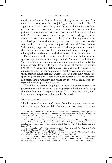ers shape regional institutions in a way that gives weaker states little choice but to join, even when not joining may be preferable.<sup>34</sup> Grieco's argument that great powers may actually undermine the regional integration efforts of weaker states, rather than use them as a means of legitimation, also suggests that power matters much in shaping regional order.35 Even liberal-constructivist perspectives acknowledge the hegemonic construction of regions. Ikenberry posits that hegemonic states may develop consensual and benign international orders with weaker states with a view to legitimize the power differential.36 His notion of "self-binding" suggests, however, that it is the hegemonic actor, rather than the weaker states, that shapes and tailors the terms of cooperation, although this could coincide with the interests of the weaker states.

Power matters in the construction of regional orders, but local responses to power may be more important. As Mittleman and Falk note: "Just as regionalism functions as a hegemonic strategy for the United States, it may also provide space for a variety of counter-hegemonic projects."37 Acharya and Hettne discuss regionalisms by weaker states aimed at challenging the dominance of great powers and/or socializing them through norm setting.<sup>38</sup> Further research into how regions respond to powerful actors, both within and without, is needed to establish their relative autonomy and hence any theoretical claim about the regional reordering of world politics.

The following sections highlight six types of regional responses to power (not mutually exclusive) that shape regional order by influencing the role of outside and regional powers. The various cells of Figure 1, illustrate these responses with examples from Asia.

#### Regions and Autonomy

The first type of response (cell 1) may be led by a great power located within the region. One possibility here is normative dissent, if not out-

<sup>34</sup> Scott Cooper and Brock Taylor, "Power and Regionalism: Explaining Regional Cooperation in the Persian Gulf," in Finn Laursen, ed., *Comparative Regional Integratio*n*: Theoretical Perspectives* (Aldershot: Ashgate. 2003); Lloyd Grubber, *Ruling the World: Power Politics and the Rise of Supranational Institutions* (Princeton: Princeton University Press, 2000).

35 Joseph M. Grieco, "Realism and Regionalism: American Power and German and Japanese Institutional Strategies during and after the Cold War," in Ethan B. Kapstein and Michael Mastanduno, eds., *Unipolar Politics: Realism and State Strategies after the Cold War* (New York: Columbia University Press, 1999).

<sup>36</sup> G. John Ikenberry, *After Victory*: *Institutions, Strategic Restraint, and the Rebuilding of Order after Major Wars* (Princeton: Princeton University Press, 2000).

<sup>37</sup> James Mittleman and Richard Falk, "Global Hegemony and Regionalism," in Stephen C. Calleya, ed., *Regionalism in the Post–Cold War World* (Aldershot: Ashgate, 2000), 19.

<sup>38</sup> Amitav Acharya, "Regional Military-Security Cooperation in the Third World: A Conceptual and Comparative Study of the Association of Southeast Asian Nations," *Journal of Peace Research* 29 ( January 1992); Bjorn Hettne, "The New Regionalism: Implications for Development and Peace," in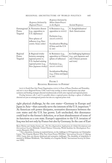|                                     | Responses Initiated by<br><b>Regional Powers</b>                                                                                         | Responses Initiated by<br>Minor States/Powers<br>in the Region                                                                                                             | Societal Responses                                                                           |
|-------------------------------------|------------------------------------------------------------------------------------------------------------------------------------------|----------------------------------------------------------------------------------------------------------------------------------------------------------------------------|----------------------------------------------------------------------------------------------|
| Extraregional<br>Power,<br>Targeted | 1. Normative dissent<br>(e.g., opposition to<br>U.S. diplomacy)                                                                          | 3. Resistance (e.g.,<br>opposition to SEATO)                                                                                                                               | 5. Antiglobalization/<br>Anti-Americanism                                                    |
|                                     | New spheres of<br>influence (e.g, Sino-<br>centric Asian order)                                                                          | Exclusion (e.g.,<br>ASEAN's ZOPFAN)<br>Socialization/Binding<br>(China and the U.S.<br>in ARF)                                                                             |                                                                                              |
| Regional<br>Power,<br>Targeted      | 2. Regional rivalry<br>between emerging<br>regional power vs.<br>U.S.-backed existing<br>regional power (e.g.,<br>Sino-Japanese rivalry) | 4. Resistance (e.g.,<br>opposition to Chinese<br>sphere of influence)<br>Exclusion (e.g.,<br>ASEAN's ZOPFAN)<br>Socialization/Binding<br>(e.g., China and Japan<br>in ARF) | 6. Challenging legitimacy<br>(e.g., anti-Japanese and<br>anti-Chinese protests<br>and riots) |

#### FIGURE 1 Regional Responses to Powers<sup>a</sup>

<sup>a</sup>SEATO is South East Asia Treaty Organization; ZOPFAN is Zone of Peace, Freedom and Neutrality; and ARF is ASEAN Regional Forum. Cells 3 and 4 may overlap, as minor states/powers may adopt exclusion and binding strategies directed simultaneously at both extra-regional and regional powers.

Overlap between cells 1 and 2 is possible where a regional power develops a sphere of influence directed not just at extraregional powers but also at a regional power rival.

right physical challenge, by the core states—Germany in Europe and Japan in Asia—that currently serve the interests of the U.S. imperium*.* 39 As American soft power dissipates, normative dissonance between the core states and the U.S. has grown. Left unchecked, this dissonance could lead to the former's defection, or at least abandonment of some of its functions as a core state. Europe's opposition to the U.S. invasion of Iraq was led not only by France but also by Germany. In the case of East

Bjorn Hettne and Andras Inotai, eds., *The New Regionalism: Implications for Global Development and International Security* (Helsinki: United Nations University, World Institute for Development Economics Research, 1994).

<sup>&</sup>lt;sup>39</sup> For a discussion, focusing on material factors, on the challenge to US hegemony, see Christopher Layne, "The Unipolar Illusion: Why New Great Powers Will Rise," *International Security* 17 (Spring 1993). Layne does not discuss ideational and normative challenges. The durability of unipolarity is asserted in William Wohlforth, "The Stability of a Unipolar World," *International Security* 24 (Summer 1999).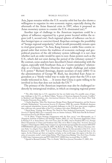Asia, Japan remains within the U.S. security orbit but has also shown a willingness to organize its own economic region, especially during the aftermath of the Asian financial crisis in 1997, when it proposed an Asian monetary system to counter the U.S.-dominated IMF). $40$ 

Another type of challenge to the American imperium could be a sphere of influence organized by a great power located within the region (cell 1, second row). Such regional spheres of influence can be either benign/open or coercive/closed. Kupchan envisages the possibility of "benign regional unipolarity," which would presumably remain open to rival great powers.41 In Asia, Kang foresees a stable Sino-centric regional order that revives the tradition of economic exchange and geopolitical practices of the old tributary system (although it is not clear whether such an order would be open to non-Asian powers such as the U.S., which did not exist during the period of the tributary system).<sup>42</sup> By contrast, some analysts have described China's relationship with the region, especially with Southeast Asia, as a "centre-periphery" relationship or a Chinese Monroe Doctrine that might challenge and isolate U.S. power.43 Richard Armitage, deputy secretary of state (2001–5) in the administration of George W. Bush, has described East Asian regionalism as a "thinly-veiled way to make the point that the US is not totally welcomed in Asia. . . . It seems that China is quite willing to be involved in fora that does not include the US."44

The primacy of the American imperium may also be challenged indirectly by intraregional rivalries, in which an emerging regional power

40 The effort failed due to U.S. opposition but has not faded away. For possible areas of Japanese challenge to the U.S., see Robert Gilpin, "Sources of American-Japanese Economic Conflict," in Ikenberry and Mastanduno, eds., *International Relations Theory and the Asia Pacific* (New York: Columbia University Press, 2003).

<sup>41</sup> Charles Kupchan, "After Pax Americana: Benign Power, Regional Integration, and the Sources of Stable Multipolarity," *International Security* 23 (Autumn 1998). By contrast, Wohlforth dismisses such regional unipolarities, because all potential challengers to the U.S. have great power neighbors that could turn into natural allies of the U.S. or balance each other; Wohlforth (fn. 39).

<sup>42</sup> David Kang, "Getting Asia Wrong: The Need for New Analytical Frameworks," *International Security* 27 (Spring 2003). For a contrarian view, see Amitav Acharya, "Will Asia's Past Be Its Future?" *International Security* 28 (Winter 2003–4).

<sup>43</sup> S. D. Muni, "China's Strategic Engagement with the New ASEAN," IDSS Monographs, no. 2 (Singapore: Institute of Defence and Strategic Studies, 2002), 21, 132; "Economic Juggernaut: China Is Passing U.S. as Asian Power," *New York Times*, June 29, 2002, cited in Friedrich Wu et al., Foreign Direct Investments to China and Southeast Asia: Has asean Been Losing Out," *Economic Survey of Singapore* (Third Quarter 2002), http://unpan1.un.org/intradoc/groups/public/documents/APCITY/ UNPAN010347.pdf (accessed July 28, 2007), 96; Robert A. Manning, "The Monroe Doctrine, Chinese Style," *Los Angeles Times*, August 16, 1998, 2. Ernst Bower, the then president of the U.S.-asean Business Council, said in 2003: "I do feel the Chinese Monroe Doctrine is being built here in the region. As the Chinese get their act together and play on the world stage, this region is the first of a series of concentric circles"; cited in Jane Perlez, "The Charm from Beijing," *New York Times*, October 9, 2003, http://taiwansecurity.org/NYT/2003/NYT-100903.htm (accessed May 12, 2007).

<sup>44</sup> Quoted in Bernard Gordon, "The FTA Fetish," *Wall Street Journal*, November 17, 2005, A16.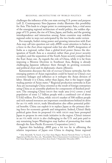challenges the influence of the core state serving U.S. power and purpose (cell 2). Contemporary Sino-Japanese rivalry illustrates this possibility for Asia. This leads to a larger point: in contemporary Asia, a vital arena of the emerging regional architecture of world politics, the sudden slippage of U.S. power, the rise of China, Japan, and India, and the growing interdependence and interaction among Asian countries may redefine regional order in ways not anticipated by the two books under review.

For example, India's rising power and growing interaction with East Asia may call into question not only *AWR*'s scant attention to India as a force in the *East Asian* regional order but also *R&P*'s designation of India as a regional, rather than a global-level power (hence the designation of South Asia as a *standard*, rather than *great power* security complex), and the separation of the South Asian security complex from the East Asian one. As regards the role of China, while it is far from imposing a Monroe Doctrine in Southeast Asia, Beijing is already challenging Japanese influence there through its growing economic and political clout and its diplomatic charm offensive.

Katzenstein discusses the role of *overseas* Chinese networks, but the emerging pattern of Asian regionalism could be based on China's *own*  economic linkages and influence as it reshapes the Asian division of labor. Already it is China, rather than Japan, that is the largest single trading partner of Asian states.<sup>45</sup> Regional production networks in East Asia are increasingly China oriented as the result of foreign enterprises using China as an assembly platform for components of finished products. The emerging China-ASEAN free trade area (FTA) covers a total population of some 1.7 billion people with a combined GDP of about U.S.\$2 trillion. For China, while asean's market of 500 million people and rich natural resources are important considerations behind its drive for an FTA with ASEAN, trade liberalization also offers potential political benefits. China can exploit it to replace Japan as the primary driving force for economic growth and integration. Indeed, China's likely political gains from its proposed FTA with ASEAN may have prompted Japan to propose its own trade initiative in the region. China's interest in an FTA with ASEAN is also challenging to the U.S. and puts paid to any remaining hopes Washington may harbor of promoting free trade through the Asia-Pacific Economic Cooperation (apec).

Against this backdrop, *AWR* goes a bit too far in affirming the relative importance of Japan over China in shaping Asian regional

<sup>45</sup> John Ravenhill, "In Search of an East Asian Region: Beyond Network Power," in Vinod K. Aggarwal and Min Gyo Koo, eds., "Roundtable: Peter J. Katzenstein's Contributions to the Study of East Asian Regionalism," *Journal of East Asian Studies* 7 (September–December 2007).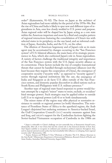order46 (Katzenstein, 91–92). The focus on Japan as the architect of Asian regionalism had more validity for the period of the 1970s–90s. But the rise of China and India is likely to spur new and different types of regionalisms in Asia, ones less closely wedded to U.S. power and purpose. Asian regional order will be shaped less by Japan acting as a core state within the American imperium and more by a fluid and complex pattern of regional interactions featuring the consolidation of China's ties with selected states in its periphery, on the one hand, and an informal coalition of Japan, Australia, India, and the U.S., on the other.

The dilution of American hegemony and of Japan's role as its main agent may be accentuated by changes occurring to the "San Francisco system" of U.S. bilateral alliances, the main basis of its strategic preeminence in Asia, which also cushioned Japan's role in Asian regionalism. A variety of factors challenge the traditional integrity and importance of the San Francisco system with the U.S.-Japan security alliance as its cornerstone. These factors include the rise of complex transnational threats that cannot be handled through exclusionary alliances (not the least because they require the cooperation of China), the emergence of cooperative security ("security with," as opposed to "security against") norms through regional institutions like the ARF, the emergence of India and Singapore as de facto U.S. allies outside of the San Francisco system, and domestic popular discomfort in allied nations such as South Korea and Philippines with U.S. military presence.<sup>47</sup>

Another type of regional state-based responses to power would feature attempts by a region's "minor" states to resist, exclude, or socialize/ bind stronger powers. Such strategies may be applied either to outside (cell 3) or to regional powers (cell 4) or to both simultaneously.

The minor states of the region may offer physical or normative resistance to outside or regional powers (or both) themselves. The resistance of Frontlines States of Africa to the apartheid regime, the Arab League's disjointed but enduring resistance to America-backed Israel, the Gulf Cooperation Council's (gcc) security measures against Iran and Iraq, and asean's support for the Cambodian factions fighting the Soviet-backed Vietnamese occupation of Cambodia in the 1980s are

<sup>46</sup> Japan is vulnerable to China's challenge not just materially but, as Katzenstein himself notes, ideationally. After all, it was China that had the central role in the historical identity of East Asia. And "Japan's inability to recognize its militarist past reinforces political suspicion throughout Asia, and its atypical national security policy has had remarkably little influence in reshaping Asia's regional security order" (Katzenstein, 140).

<sup>&</sup>lt;sup>47</sup> Amitav Acharya and William T. Tow, "Obstinate or Obsolete: The U.S. Alliance Structure in the Asia Pacific" (Manuscript, Department of International Relations, Research School of Pacific and Asian Studies, Australian National University, August 2006).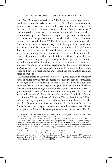examples of intraregional resistance.<sup>48</sup> Regional resistance to power may also be normative. In Asia intrusive U.S. policies have been challenged by states that remain deeply wedded to Westephalian sovereignty. In the case of Europe, Fukuyama, who proclaimed "the end of history" after the cold war was over, now doubts "whether the West is really a coherent concept," since "an enormous gulf has opened up in American and European perceptions about the world, and the sense of shared values is increasingly frayed."49 The European Union challenges the American imperium in various ways: first, through normative dissent (at least over multilateralism, even if one does not accept Kagan's more dramatic characterization of these differences),<sup>50</sup> second, by increasingly self-organizing its own defense so as to lessen, if not eliminate, security dependence on the United States, and third, by providing an alternative source of peace operations (peacekeeping, humanitarian intervention, and nation-building) in out-of-area locations (Aceh, Bosnia, Kosovo, and so on). Similar resistance to the U.S. could emerge in Asia as the region begins to self-organize its political and economic space and develop mechanisms and capabilities for handling regional peace operations.

Exclusion refers to a response whereby regional coalitions of weaker states or minor powers may cooperate to reduce the scope for intrusion by stronger powers in their region's affairs. This has been an important common feature of many regional organizations in the Third World that have attempted to regulate outside power intervention in their regions through norms of nonintervention and proposals for zones of peace and neutrality.51 Examples include the idea of the Indian Ocean as a Zone of Peace, and asean's Zone of Peace, Freedom and Neutrality (zopfan, proposed in the 1970s with a view to keeping Southeast Asia "free from any form or manner of interference by outside Powers"). Another category of examples would be several established or proposed regional nuclear-weapon-free zones in the South Pacific,

<sup>48</sup> Mahnaz Z. Ispahani; "Alone Together: Regional Security Arrangements in Southern Africa and the Arabian Gulf," *International Security* 8 (Spring 1984).

<sup>49</sup> Francis Fukuyama, "The West May Be Coming Apart," *The Straits Times*, August 10, 2002.

<sup>51</sup> Amitav Acharya, "Regionalism and the Emerging World Order: Sovereignty, Autonomy, Identity," in Shaun Breslin, Christopher W. Hughes, Nicola Phillips, and Ben Rosamond, eds., *New Regionalisms in the Global Political Economy* (London and New York: Routledge, 2002); Arie M. Kacowicz, *Zones of Peace in the Third World: South America and West Africa in Comparative Perspective* (Albany: State University of New York Press, 1998).

 $^{50}\rm{Kagan}$  asserts that compared with Americans, Europeans are "more tolerant of failure, more patient when solutions don't come quickly." They eschew "finality" in international affairs, prefer "negotiation, diplomacy, and persuasion," and emphasize "process over result." Many of these observations are true of Asian regionalism as well. Robert Kagan, "Power and Weakness," *Policy Review*, no.113 ( June–July 2002).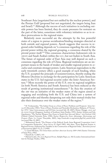Southeast Asia (negotiated but not ratified by the nuclear powers), and the Persian Gulf (proposed but not negotiated, the targets being Iran and Israel).<sup>52</sup> Although the success of such initiatives in excluding outside powers has been limited, they do create pressures for restraint on the part of the latter, sometimes with voluntary initiatives so as to reduce provocations to the regional states.

Relatively more successful are the attempts by the less powerful states of a region to pursue socialization/binding strategies directed at both outside and regional powers. Ayoob suggests that success in regional order building depends on "a consensus regarding the role of the pivotal power within the regional grouping, a consensus shared by the pivotal power itself."53 This consensus characterizes Indonesia's role in asean and Saudi Arabia's within the gcc, but not India's in South Asia. The future of regional order of East Asia may well depend on such a consensus regarding the role of China. Regional institutions are an important means in the hands of weaker and smaller regional powers to *socialize* and constrain stronger powers. Latin American regionalism in the early twentieth century offers a good example of such binding, when the U.S. accepted the principle of nonintervention, thereby ending the Monroe Doctrine in exchange for the participation by Latin American states in the U.S.-led regional security order: the Inter-American System.54 More recently the power of the U.S. over its regional neighbors (in both North America and South America) has been reduced as the result of growing institutional enmeshment.55 In Asia the creation of the ARF was an initiative of the weaker states of the region aimed at engaging and socializing both the U.S. and China into a system of regional order and thereby dampening not only their mutual rivalry but also their dominance over the weaker states of the region.<sup>56</sup>

52 B. Vivekanandan, "The Indian Ocean as a Zone of Peace: Problems and Prospects," *Asian Survey* 21 (December 1981); "Zone of Peace, Freedom and Neutrality Declaration, Malaysia, 27 November 1971," http://www.aseansec.org/1215.htm (accessed July 28, 2007); Heiner Hanggi, *asean and the zopfan Concept* (Singapore: Institute of Southeast Asian Studies, 1991); Amitav Acharya and Sola Ogunbanwo, "The Nuclear Weapon-Free Zones in South-East Asia and Africa," *sipri Yearbook 1998*  (Oxford: Oxford University Press, 1998); *Nuclear Weapon-free Zones: Advantages, Shortcomings and Prospects* (Paris: Le Centre Thucydide, 2005), http://www.afri-ct.org/article.php3?id\_article=1636 (acccessed May 12, 2007).

<sup>53</sup> Mohammed Ayoob, "The Primacy of the Political: South Asian Regional Cooperation (sarc) in Comparative Perspective," *Asian Survey* 25 (April 1985), 444; idem, "From Regional System to Regional Society: Exploring Key Variables in the Construction of Regional Order," *Australian Journal of International Affairs* 53, no. 3 (1999).

54 J. Lloyd Mecham, *The United States and Inter-American Security 1889–1960* (Austin: University of Texas Press, 1962).

<sup>55</sup> Hurrell (fn. 9, 2007), 143.

<sup>56</sup> Michael Leifer, *The asean Regional Forum,* Adelphi Paper, no. 302 (London: International Institute for Strategic Studies, 1996).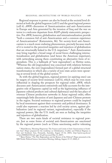Regional response to power can also be found at the societal level directed at both the global hegemon (cell 5) and the great/regional powers (cell 6). *AWR*'s discussion of Americanization and anti-Americanism in Europe and Asia generated by the invasion of Iraq and the war on terror is a welcome departure from *R&P*'s plainly statecentric perspective. For *AWR*, however, globalization and internationalization provide "both a common foil of anti-Americanism and a common experience of Americanization" (Katzenstein, 86). Yet society-level anti-Americanism is a much more enduring phenomenon, precisely because much of it is rooted in the perceived inequities and injustices of globalization that are structurally linked to the U.S. imperium.<sup>57</sup> Anti-Americanism may bring together a broad range of social forces challenging internationalization and globalization (and hence the American imperium), with networking among them constituting an alternative form of regionalism. This is a hallmark of "new regionalism"; as Hettne notes, "Whereas the old [regionalism] was concerned with relations between nation-states, the new [regionalism] formed part of a global structural transformation in which also a variety of non-state actors were operating at several levels of the global system."58

As with the global hegemon, regional powers (or aspiring ones) can be targets of society-level resistance (cell 6), which may be even more influential in shaping the prospects for regional order. *AWR,* which discusses anti-Americanism extensively and fully accounts for the integrative role of Japanese capital (as well as the legitimizing influence of Japanese cultural products and cultural diplomacy) and the key place of overseas Chinese production networks in Asian regional order, offers surprisingly little discussion of anti-Japanese and anti-Chinese protests in the region. Societal resistance to regional powers could be inspired by local resentment against their economic and political dominance. It could also represent a reaction led by civil society actors, against globalization (and its regional variant, regionalization), especially if the regional powers, like the U.S. itself, are seen as fueling the inequities and injustices of globalization.

There are two main kinds of societal resistance to regional powers. Just as some forms of societal anti-Americanism are sanctioned by the regional powers (such as China sanctioning and/or tolerating

<sup>57</sup> Mark Beeson**,** "Resisting Hegemony: The Sources and Limits of Anti-Americanism in Southeast Asia" (Paper prepared for the workshop on Globalisation, Conflict and Political Regimes in East and Southeast Asia, Fremantle, Australia, August 15–16, 2003), http://eprint.uq.edu.au/ archive/00000623/01/mb-cgpr-03.pdf (accessed May 11, 2007).

<sup>58</sup> Bjorn Hettne, "The New Regionalism and the Return of the Political" (Paper presented at the XIII Nordic Political Science Association Meeting, Aalborg, August, 15–17, 2002), 2.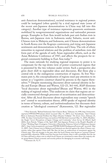anti-American demonstrations), societal resistance to regional powers could be instigated (often quietly) by a rival regional state (some of the recent anti-Japanese demonstrations in China may fall into this category). Another type of resistance represents grassroots sentiments mobilized by nongovernmental organizations and nationalist pressure groups. Examples in East Asia would include past anti-Indian riots in Burma, anti-Japanese riots in Indonesia under Suharto, recent anti-Chinese riots in Malaysia and Indonesia, anti-Chinese demonstrations in South Korea over the Kogruyo controversy, and rising anti-Japanese sentiments and demonstrations in Korea and China. The role of ethnic minorities in regional relations and the problem of antiethnic riots did form part of the agenda of early Asian regionalist efforts, such as the Asian Relations Conference of 1947, and affects the prospects for regional community building in East Asia today.59

The main rationale for studying regional responses to power is to compensate for the top-down view of power-constructed regions that is presented by the two volumes under review. Such a perspective also gives short shift to regionalist ideas and discourses. But these play a central role in the endogenous construction of regions. As Iver Neumann puts it, the conceptualization of regions must pay attention to its nature as a "cognitive construct shared by persons in the region themselves."60 Despite mentioning discourses about national identity in India and Europe (Buzan and Wæver, 122–23, 361–64), *R&P* dismisses "local discourses about regionalism"(Buzan and Wæver, 481) in the making of regional orders. This undercuts its claim that regions are socially constructed through processes of securitization and desecuritization. After all, local discourses about regionalism may contain "speech acts" central to securitization theory. *AWR* speaks of regional identity in terms of history, culture, and institutionalization but discounts their creation as "ideological constructs" (Katzenstein, 12). But regionalist

59 Peter Symonds, "Behind Indonesia's Anti-Chinese Riots," February 14, 1998, http://www.wsws. org/news/1998/feb1998/indones.shtml (accessed May 11, 2007); Leo Suryadinata, "Anti-Chinese Riots in Indonesia Perennial Problem but Major Disaster Unlikely," *The Straits Times,* February 25, 1998, 36, http://www.hartford-hwp.com/archives/54b/066.html (accessed May 11, 2007); Bhubhindar Singh, **"***asean's* Perceptions of Japan: Change and Continuity," *Asian Survey* 42 (March–April 2002); Aron Patrick, "Origins of the April 2005 Anti-Japanese Protests in the People's Republic of China," Working Paper (Lexington: University of Kentucky, Patterson School of Diplomacy, January 2007), http://www.aronpatrick.com/essays/PATRICK2005AntiJapaneseProtests.pdf (accessed May 11, 2007). Anti-Chinese riots in Malaysia and Indonesia are directed against the ethnic Chinese community, rather than against China itself. But they do have an undercurrent of resentment against the Chinese state. This was stronger in the past, when the local Chinese were known as "overseas Chinese" potential fifth columnists. While most have become local citizens, there is still a possibility that the rise of China will lead to ethnic riots in which local Chinese are victimized in states where the majority ethnic group blames China's economic and security policies for damaging its economic well-being.

60 Neumann (fn. 9), 57.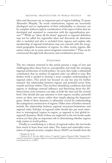ideas and discourses are an important part of region building. To quote Alexander Murphy, "As social constructions, regions are necessarily ideological and no explanation of their individuality or character can be complete without explicit consideration of the types of ideas that are developed and sustained in connection with the regionalization process."61 While an "ideas all the down" approach to regional definition may not be called for, regionalist ideas and discourses do determine who is included and who is excluded from regions and explain why membership of regional institutions may not coincide with the recognized geographic boundaries of regions. In other words, regions, like nation-states, are to some extent imagined communities.62 They can be constructed through both discourses and socialization processes.

#### **CONCLUSION**

The two volumes reviewed in this article present a range of new and challenging ideas about how to conceptualize and study the emerging regional architecture of world politics. As such, they make a substantial contribution that no student of regional order can afford to miss. But further work is needed to develop a more complete understanding of regional orders. This article has focused on one key area for further research: the relationship between regions and powerful actors from outside and from within. This involves identifying conditions that lead regions to challenge external influence and theorizing about the different forms such resistance can take, at both the state and the societal level. One should also pay attention to how regions socialize powerful actors on their own terms, rather than simply playing the hegemon's game. Study of these dynamics is ultimately crucial for understanding the endogenous construction of regions. Other areas of further research include the relationship between regional structures/institutions and regional order. Scholars of regional order should also pay more attention to interregional (region-to-region, as opposed to just global-toregional) dynamics. Both of these are neglected in the two books under review, yet they play an important role in determining whether regions truly matter in world politics.

Finally, in contributing to a theory of regional orders, the two books have much to learn from each other. The statist and materialist orientation of regional security complex theory (*R&P)* can benefit from the

<sup>61</sup> Murphy (fn. 9), 30.

*<sup>62</sup>* Acharya (fn. 9). See also Adler's notion of "cognitive" regions; Emanuel Adler, "Imagined (Security) Communities: Cognitive Regions in International Relations," *Millennium: Journal of International Studies* 26, no. 2 (1997).